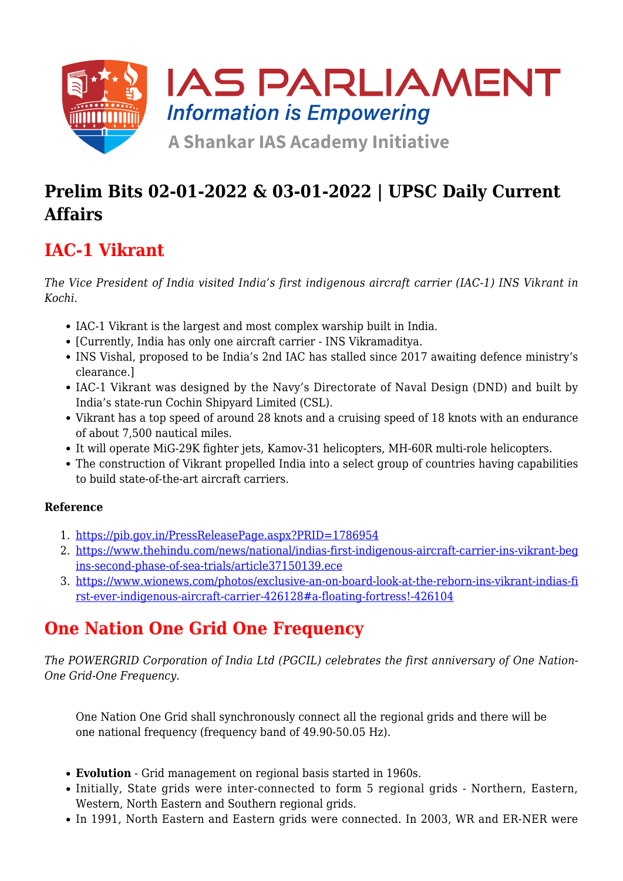

### **Prelim Bits 02-01-2022 & 03-01-2022 | UPSC Daily Current Affairs**

### **IAC-1 Vikrant**

*The Vice President of India visited India's first indigenous aircraft carrier (IAC-1) INS Vikrant in Kochi.*

- IAC-1 Vikrant is the largest and most complex warship built in India.
- [Currently, India has only one aircraft carrier INS Vikramaditya.
- INS Vishal, proposed to be India's 2nd IAC has stalled since 2017 awaiting defence ministry's clearance.]
- IAC-1 Vikrant was designed by the Navy's Directorate of Naval Design (DND) and built by India's state-run Cochin Shipyard Limited (CSL).
- Vikrant has a top speed of around 28 knots and a cruising speed of 18 knots with an endurance of about 7,500 nautical miles.
- It will operate MiG-29K fighter jets, Kamov-31 helicopters, MH-60R multi-role helicopters.
- The construction of Vikrant propelled India into a select group of countries having capabilities to build state-of-the-art aircraft carriers.

#### **Reference**

- 1. <https://pib.gov.in/PressReleasePage.aspx?PRID=1786954>
- 2. [https://www.thehindu.com/news/national/indias-first-indigenous-aircraft-carrier-ins-vikrant-beg](https://www.thehindu.com/news/national/indias-first-indigenous-aircraft-carrier-ins-vikrant-begins-second-phase-of-sea-trials/article37150139.ece) [ins-second-phase-of-sea-trials/article37150139.ece](https://www.thehindu.com/news/national/indias-first-indigenous-aircraft-carrier-ins-vikrant-begins-second-phase-of-sea-trials/article37150139.ece)
- 3. [https://www.wionews.com/photos/exclusive-an-on-board-look-at-the-reborn-ins-vikrant-indias-fi](https://www.wionews.com/photos/exclusive-an-on-board-look-at-the-reborn-ins-vikrant-indias-first-ever-indigenous-aircraft-carrier-426128#a-floating-fortress!-426104) [rst-ever-indigenous-aircraft-carrier-426128#a-floating-fortress!-426104](https://www.wionews.com/photos/exclusive-an-on-board-look-at-the-reborn-ins-vikrant-indias-first-ever-indigenous-aircraft-carrier-426128#a-floating-fortress!-426104)

## **One Nation One Grid One Frequency**

*The POWERGRID Corporation of India Ltd (PGCIL) celebrates the first anniversary of One Nation-One Grid-One Frequency.*

One Nation One Grid shall synchronously connect all the regional grids and there will be one national frequency (frequency band of 49.90-50.05 Hz).

- **Evolution** Grid management on regional basis started in 1960s.
- Initially, State grids were inter-connected to form 5 regional grids Northern, Eastern, Western, North Eastern and Southern regional grids.
- In 1991, North Eastern and Eastern grids were connected. In 2003, WR and ER-NER were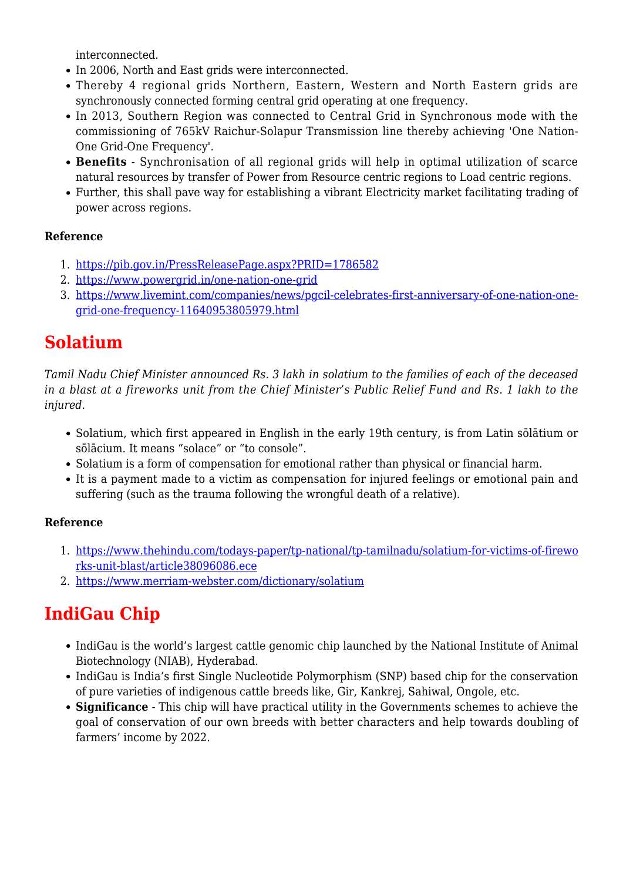interconnected.

- In 2006, North and East grids were interconnected.
- Thereby 4 regional grids Northern, Eastern, Western and North Eastern grids are synchronously connected forming central grid operating at one frequency.
- In 2013, Southern Region was connected to Central Grid in Synchronous mode with the commissioning of 765kV Raichur-Solapur Transmission line thereby achieving 'One Nation-One Grid-One Frequency'.
- **Benefits** Synchronisation of all regional grids will help in optimal utilization of scarce natural resources by transfer of Power from Resource centric regions to Load centric regions.
- Further, this shall pave way for establishing a vibrant Electricity market facilitating trading of power across regions.

#### **Reference**

- 1. <https://pib.gov.in/PressReleasePage.aspx?PRID=1786582>
- 2. <https://www.powergrid.in/one-nation-one-grid>
- 3. [https://www.livemint.com/companies/news/pgcil-celebrates-first-anniversary-of-one-nation-one](https://www.livemint.com/companies/news/pgcil-celebrates-first-anniversary-of-one-nation-one-grid-one-frequency-11640953805979.html)[grid-one-frequency-11640953805979.html](https://www.livemint.com/companies/news/pgcil-celebrates-first-anniversary-of-one-nation-one-grid-one-frequency-11640953805979.html)

### **Solatium**

*Tamil Nadu Chief Minister announced Rs. 3 lakh in solatium to the families of each of the deceased in a blast at a fireworks unit from the Chief Minister's Public Relief Fund and Rs. 1 lakh to the injured.*

- Solatium, which first appeared in English in the early 19th century, is from Latin sōlātium or sōlācium. It means "solace" or "to console".
- Solatium is a form of compensation for emotional rather than physical or financial harm.
- It is a payment made to a victim as compensation for injured feelings or emotional pain and suffering (such as the trauma following the wrongful death of a relative).

#### **Reference**

- 1. [https://www.thehindu.com/todays-paper/tp-national/tp-tamilnadu/solatium-for-victims-of-firewo](https://www.thehindu.com/todays-paper/tp-national/tp-tamilnadu/solatium-for-victims-of-fireworks-unit-blast/article38096086.ece) [rks-unit-blast/article38096086.ece](https://www.thehindu.com/todays-paper/tp-national/tp-tamilnadu/solatium-for-victims-of-fireworks-unit-blast/article38096086.ece)
- 2. <https://www.merriam-webster.com/dictionary/solatium>

# **IndiGau Chip**

- IndiGau is the world's largest cattle genomic chip launched by the National Institute of Animal Biotechnology (NIAB), Hyderabad.
- IndiGau is India's first Single Nucleotide Polymorphism (SNP) based chip for the conservation of pure varieties of indigenous cattle breeds like, Gir, Kankrej, Sahiwal, Ongole, etc.
- **Significance** This chip will have practical utility in the Governments schemes to achieve the goal of conservation of our own breeds with better characters and help towards doubling of farmers' income by 2022.